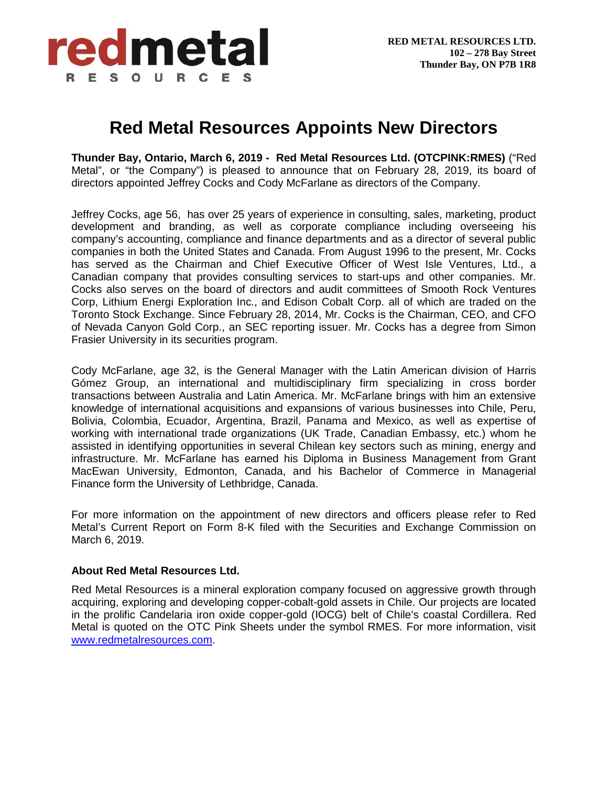

## **Red Metal Resources Appoints New Directors**

**Thunder Bay, Ontario, March 6, 2019 - Red Metal Resources Ltd. (OTCPINK:RMES)** ("Red Metal", or "the Company") is pleased to announce that on February 28, 2019, its board of directors appointed Jeffrey Cocks and Cody McFarlane as directors of the Company.

Jeffrey Cocks, age 56, has over 25 years of experience in consulting, sales, marketing, product development and branding, as well as corporate compliance including overseeing his company's accounting, compliance and finance departments and as a director of several public companies in both the United States and Canada. From August 1996 to the present, Mr. Cocks has served as the Chairman and Chief Executive Officer of West Isle Ventures, Ltd., a Canadian company that provides consulting services to start-ups and other companies. Mr. Cocks also serves on the board of directors and audit committees of Smooth Rock Ventures Corp, Lithium Energi Exploration Inc., and Edison Cobalt Corp. all of which are traded on the Toronto Stock Exchange. Since February 28, 2014, Mr. Cocks is the Chairman, CEO, and CFO of Nevada Canyon Gold Corp., an SEC reporting issuer. Mr. Cocks has a degree from Simon Frasier University in its securities program.

Cody McFarlane, age 32, is the General Manager with the Latin American division of Harris Gómez Group, an international and multidisciplinary firm specializing in cross border transactions between Australia and Latin America. Mr. McFarlane brings with him an extensive knowledge of international acquisitions and expansions of various businesses into Chile, Peru, Bolivia, Colombia, Ecuador, Argentina, Brazil, Panama and Mexico, as well as expertise of working with international trade organizations (UK Trade, Canadian Embassy, etc.) whom he assisted in identifying opportunities in several Chilean key sectors such as mining, energy and infrastructure. Mr. McFarlane has earned his Diploma in Business Management from Grant MacEwan University, Edmonton, Canada, and his Bachelor of Commerce in Managerial Finance form the University of Lethbridge, Canada.

For more information on the appointment of new directors and officers please refer to Red Metal's Current Report on Form 8-K filed with the Securities and Exchange Commission on March 6, 2019.

## **About Red Metal Resources Ltd.**

Red Metal Resources is a mineral exploration company focused on aggressive growth through acquiring, exploring and developing copper-cobalt-gold assets in Chile. Our projects are located in the prolific Candelaria iron oxide copper-gold (IOCG) belt of Chile's coastal Cordillera. Red Metal is quoted on the OTC Pink Sheets under the symbol RMES. For more information, visit [www.redmetalresources.com.](http://www.redmetalresources.com/)